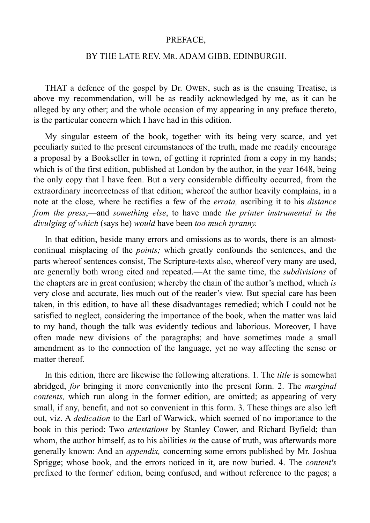## PREFACE,

## BY THE LATE REV. MR. ADAM GIBB, EDINBURGH.

THAT a defence of the gospel by Dr. OWEN, such as is the ensuing Treatise, is above my recommendation, will be as readily acknowledged by me, as it can be alleged by any other; and the whole occasion of my appearing in any preface thereto, is the particular concern which I have had in this edition.

My singular esteem of the book, together with its being very scarce, and yet peculiarly suited to the present circumstances of the truth, made me readily encourage a proposal by a Bookseller in town, of getting it reprinted from a copy in my hands; which is of the first edition, published at London by the author, in the year 1648, being the only copy that I have feen. But a very considerable difficulty occurred, from the extraordinary incorrectness of that edition; whereof the author heavily complains, in a note at the close, where he rectifies a few of the *errata,* ascribing it to his *distance from the press*,—and *something else*, to have made *the printer instrumental in the divulging of which* (says he) *would* have been *too much tyranny.*

In that edition, beside many errors and omissions as to words, there is an almostcontinual misplacing of the *points;* which greatly confounds the sentences, and the parts whereof sentences consist, The Scripture-texts also, whereof very many are used, are generally both wrong cited and repeated.—At the same time, the *subdivisions* of the chapters are in great confusion; whereby the chain of the author's method, which *is* very close and accurate, lies much out of the reader's view. But special care has been taken, in this edition, to have all these disadvantages remedied; which I could not be satisfied to neglect, considering the importance of the book, when the matter was laid to my hand, though the talk was evidently tedious and laborious. Moreover, I have often made new divisions of the paragraphs; and have sometimes made a small amendment as to the connection of the language, yet no way affecting the sense or matter thereof.

In this edition, there are likewise the following alterations. 1. The *title* is somewhat abridged, *for* bringing it more conveniently into the present form. 2. The *marginal contents,* which run along in the former edition, are omitted; as appearing of very small, if any, benefit, and not so convenient in this form. 3. These things are also left out, viz. A *dedication* to the Earl of Warwick, which seemed of no importance to the book in this period: Two *attestations* by Stanley Cower, and Richard Byfield; than whom, the author himself, as to his abilities *in* the cause of truth, was afterwards more generally known: And an *appendix,* concerning some errors published by Mr. Joshua Sprigge; whose book, and the errors noticed in it, are now buried. 4. The *content's*  prefixed to the former' edition, being confused, and without reference to the pages; a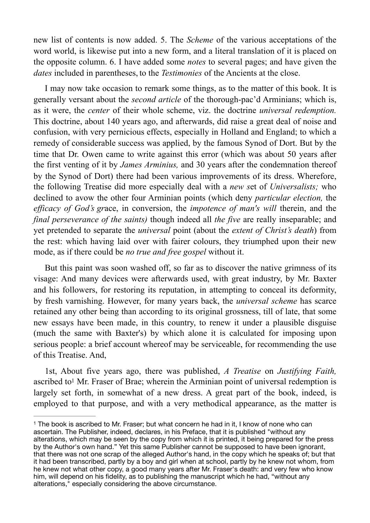new list of contents is now added. 5. The *Scheme* of the various acceptations of the word world, is likewise put into a new form, and a literal translation of it is placed on the opposite column. 6. I have added some *notes* to several pages; and have given the *dates* included in parentheses, to the *Testimonies* of the Ancients at the close.

I may now take occasion to remark some things, as to the matter of this book. It is generally versant about the *second article* of the thorough-pac'd Arminians; which is, as it were, the *center* of their whole scheme, viz. the doctrine *universal redemption.*  This doctrine, about 140 years ago, and afterwards, did raise a great deal of noise and confusion, with very pernicious effects, especially in Holland and England; to which a remedy of considerable success was applied, by the famous Synod of Dort. But by the time that Dr. Owen came to write against this error (which was about 50 years after the first venting of it by *James Arminius,* and 30 years after the condemnation thereof by the Synod of Dort) there had been various improvements of its dress. Wherefore, the following Treatise did more especially deal with a *new s*et of *Universalists;* who declined to avow the other four Arminian points (which deny *particular election,* the *efficacy of God's gr*ace, in conversion, the *impotence of man's will* therein, and the *final perseverance of the saints)* though indeed all *the five* are really inseparable; and yet pretended to separate the *universal* point (about the *extent of Christ's death*) from the rest: which having laid over with fairer colours, they triumphed upon their new mode, as if there could be *no true and free gospel* without it.

But this paint was soon washed off, so far as to discover the native grimness of its visage: And many devices were afterwards used, with great industry, by Mr. Baxter and his followers, for restoring its reputation, in attempting to conceal its deformity, by fresh varnishing. However, for many years back, the *universal scheme* has scarce retained any other being than according to its original grossness, till of late, that some new essays have been made, in this country, to renew it under a plausible disguise (much the same with Baxter's) by which alone it is calculated for imposing upon serious people: a brief account whereof may be serviceable, for recommending the use of this Treatise. And,

<span id="page-1-1"></span>1st, About five years ago, there was published, *A Treatise* on *Justifying Faith,*  ascribed to<sup>[1](#page-1-0)</sup> Mr. Fraser of Brae; wherein the Arminian point of universal redemption is largely set forth, in somewhat of a new dress. A great part of the book, indeed, is employed to that purpose, and with a very methodical appearance, as the matter is

<span id="page-1-0"></span> $1$  The book is ascribed to Mr. Fraser; but what concern he had in it, I know of none who can ascertain. The Publisher, indeed, declares, in his Preface, that it is published "without any alterations, which may be seen by the copy from which it is printed, it being prepared for the press by the Author's own hand." Yet this same Publisher cannot be supposed to have been ignorant, that there was not one scrap of the alleged Author's hand, in the copy which he speaks of; but that it had been transcribed, partly by a boy and girl when at school, partly by he knew not whom, from he knew not what other copy, a good many years after Mr. Fraser's death: and very few who know him, will depend on his fidelity, as to publishing the manuscript which he had, "without any alterations," especially considering the above circumstance.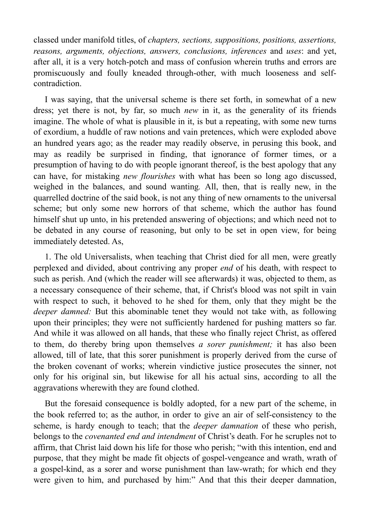classed under manifold titles, of *chapters, sections, suppositions, positions, assertions, reasons, arguments, objections, answers, conclusions, inferences* and *uses*: and yet, after all, it is a very hotch-potch and mass of confusion wherein truths and errors are promiscuously and foully kneaded through-other, with much looseness and selfcontradiction.

I was saying, that the universal scheme is there set forth, in somewhat of a new dress; yet there is not, by far, so much *new* in it, as the generality of its friends imagine. The whole of what is plausible in it, is but a repeating, with some new turns of exordium, a huddle of raw notions and vain pretences, which were exploded above an hundred years ago; as the reader may readily observe, in perusing this book, and may as readily be surprised in finding, that ignorance of former times, or a presumption of having to do with people ignorant thereof, is the best apology that any can have, for mistaking *new flourishes* with what has been so long ago discussed, weighed in the balances, and sound wanting*.* All, then, that is really new, in the quarrelled doctrine of the said book, is not any thing of new ornaments to the universal scheme; but only some new horrors of that scheme, which the author has found himself shut up unto, in his pretended answering of objections; and which need not to be debated in any course of reasoning, but only to be set in open view, for being immediately detested. As,

1. The old Universalists, when teaching that Christ died for all men, were greatly perplexed and divided, about contriving any proper *end* of his death, with respect to such as perish. And (which the reader will see afterwards) it was, objected to them, as a necessary consequence of their scheme, that, if Christ's blood was not spilt in vain with respect to such, it behoved to he shed for them, only that they might be the *deeper damned:* But this abominable tenet they would not take with, as following upon their principles; they were not sufficiently hardened for pushing matters so far. And while it was allowed on all hands, that these who finally reject Christ, as offered to them, do thereby bring upon themselves *a sorer punishment;* it has also been allowed, till of late, that this sorer punishment is properly derived from the curse of the broken covenant of works; wherein vindictive justice prosecutes the sinner, not only for his original sin, but likewise for all his actual sins, according to all the aggravations wherewith they are found clothed.

But the foresaid consequence is boldly adopted, for a new part of the scheme, in the book referred to; as the author, in order to give an air of self-consistency to the scheme, is hardy enough to teach; that the *deeper damnation* of these who perish, belongs to the *covenanted end and intendment* of Christ's death. For he scruples not to affirm, that Christ laid down his life for those who perish; "with this intention, end and purpose, that they might be made fit objects of gospel-vengeance and wrath, wrath of a gospel-kind, as a sorer and worse punishment than law-wrath; for which end they were given to him, and purchased by him:" And that this their deeper damnation,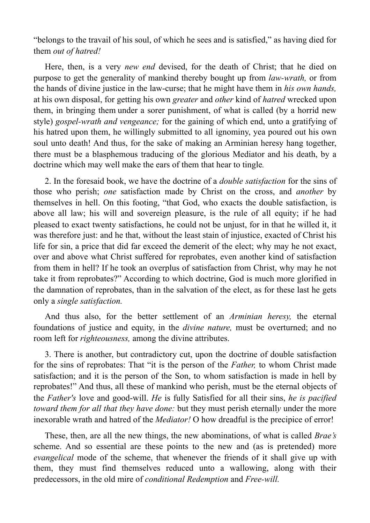"belongs to the travail of his soul, of which he sees and is satisfied," as having died for them *out of hatred!* 

Here, then, is a very *new end* devised, for the death of Christ; that he died on purpose to get the generality of mankind thereby bought up from *law-wrath,* or from the hands of divine justice in the law-curse; that he might have them in *his own hands,*  at his own disposal, for getting his own *greater* and *other* kind of *hatred* wrecked upon them, in bringing them under a sorer punishment, of what is called (by a horrid new style) *gospel-wrath and vengeance;* for the gaining of which end, unto a gratifying of his hatred upon them, he willingly submitted to all ignominy, yea poured out his own soul unto death! And thus, for the sake of making an Arminian heresy hang together, there must be a blasphemous traducing of the glorious Mediator and his death, by a doctrine which may well make the ears of them that hear to tingle*.* 

2. In the foresaid book, we have the doctrine of a *double satisfaction* for the sins of those who perish; *one* satisfaction made by Christ on the cross, and *another* by themselves in hell. On this footing, "that God, who exacts the double satisfaction, is above all law; his will and sovereign pleasure, is the rule of all equity; if he had pleased to exact twenty satisfactions, he could not be unjust, for in that he willed it, it was therefore just: and he that, without the least stain of injustice, exacted of Christ his life for sin, a price that did far exceed the demerit of the elect; why may he not exact, over and above what Christ suffered for reprobates, even another kind of satisfaction from them in hell? If he took an overplus of satisfaction from Christ, why may he not take it from reprobates?" According to which doctrine, God is much more glorified in the damnation of reprobates, than in the salvation of the elect, as for these last he gets only a *single satisfaction.* 

And thus also, for the better settlement of an *Arminian heresy,* the eternal foundations of justice and equity, in the *divine nature,* must be overturned; and no room left for *righteousness,* among the divine attributes.

3. There is another, but contradictory cut, upon the doctrine of double satisfaction for the sins of reprobates: That "it is the person of the *Father,* to whom Christ made satisfaction; and it is the person of the Son, to whom satisfaction is made in hell by reprobates!" And thus, all these of mankind who perish, must be the eternal objects of the *Father's* love and good-will. *He* is fully Satisfied for all their sins, *he is pacified toward them for all that they have done:* but they must perish eternall*y* under the more inexorable wrath and hatred of the *Mediator!* O how dreadful is the precipice of error!

These, then, are all the new things, the new abominations, of what is called *Brae's*  scheme. And so essential are these points to the new and (as is pretended) more *evangelical* mode of the scheme, that whenever the friends of it shall give up with them, they must find themselves reduced unto a wallowing, along with their predecessors, in the old mire of *conditional Redemption* and *Free-will.*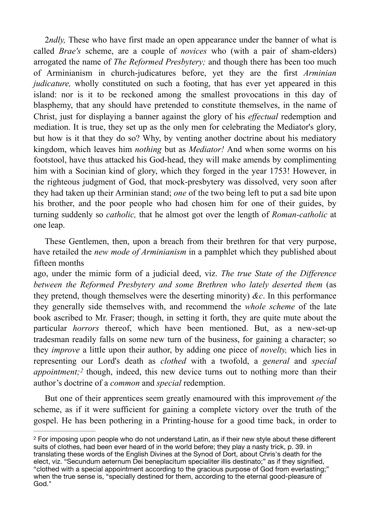2*ndly,* These who have first made an open appearance under the banner of what is called *Brae's* scheme, are a couple of *novices* who (with a pair of sham-elders) arrogated the name of *The Reformed Presbytery;* and though there has been too much of Arminianism in church-judicatures before, yet they are the first *Arminian judicature*, wholly constituted on such a footing, that has ever yet appeared in this island: nor is it to be reckoned among the smallest provocations in this day of blasphemy, that any should have pretended to constitute themselves, in the name of Christ, just for displaying a banner against the glory of his *effectual* redemption and mediation. It is true, they set up as the only men for celebrating the Mediator's glory, but how is it that they do so? Why, by venting another doctrine about his mediatory kingdom, which leaves him *nothing* but as *Mediator!* And when some worms on his footstool, have thus attacked his God-head, they will make amends by complimenting him with a Socinian kind of glory, which they forged in the year 1753! However, in the righteous judgment of God, that mock-presbytery was dissolved, very soon after they had taken up their Arminian stand; *one* of the two being left to put a sad bite upon his brother, and the poor people who had chosen him for one of their guides, by turning suddenly so *catholic,* that he almost got over the length of *Roman-catholic* at one leap.

These Gentlemen, then, upon a breach from their brethren for that very purpose, have retailed the *new mode of Arminianism* in a pamphlet which they published about fifteen months

ago, under the mimic form of a judicial deed, viz. *The true State of the Difference between the Reformed Presbytery and some Brethren who lately deserted them (as* they pretend, though themselves were the deserting minority) *&c*. In this performance they generally side themselves with, and recommend the *whole scheme* of the late book ascribed to Mr. Fraser; though, in setting it forth, they are quite mute about the particular *horrors* thereof, which have been mentioned. But, as a new-set-up tradesman readily falls on some new turn of the business, for gaining a character; so they *improve* a little upon their author, by adding one piece of *novelty,* which lies in representing our Lord's death as *clothed* with a twofold, a *general* and *special appointment;*<sup>[2](#page-4-0)</sup> though, indeed, this new device turns out to nothing more than their author's doctrine of a *common* and *special* redemption.

<span id="page-4-1"></span>But one of their apprentices seem greatly enamoured with this improvement *of* the scheme, as if it were sufficient for gaining a complete victory over the truth of the gospel. He has been pothering in a Printing-house for a good time back, in order to

<span id="page-4-0"></span><sup>&</sup>lt;sup>[2](#page-4-1)</sup> For imposing upon people who do not understand Latin, as if their new style about these different suits of clothes, had been ever heard of in the world before; they play a nasty trick, p. 39. in translating these words of the English Divines at the Synod of Dort, about Chris's death for the elect, viz. "Secundum aeternum Dei beneplacitum specialiter illis destinato;" as if they signified, "clothed with a special appointment according to the gracious purpose of God from everlasting;" when the true sense is, "specially destined for them, according to the eternal good-pleasure of God."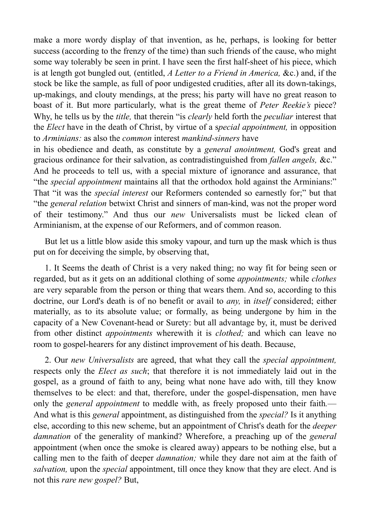make a more wordy display of that invention, as he, perhaps, is looking for better success (according to the frenzy of the time) than such friends of the cause, who might some way tolerably be seen in print. I have seen the first half-sheet of his piece, which is at length got bungled out*,* (entitled, *A Letter to a Friend in America,* &c.) and, if the stock be like the sample, as full of poor undigested crudities, after all its down-takings, up-makings, and clouty mendings, at the press; his party will have no great reason to boast of it. But more particularly, what is the great theme of *Peter Reekie's* piece? Why, he tells us by the *title,* that therein "is *clearly* held forth the *peculiar* interest that the *Elect* have in the death of Christ, by virtue of a s*pecial appointment,* in opposition to *Arminians:* as also the *common* interest *mankind-sinners* have

in his obedience and death, as constitute by a *general anointment,* God's great and gracious ordinance for their salvation, as contradistinguished from *fallen angels,* &c." And he proceeds to tell us, with a special mixture of ignorance and assurance, that "the *special appointment* maintains all that the orthodox hold against the Arminians:" That "it was the *special interest* our Reformers contended so earnestly for;" but that "the *general relation* betwixt Christ and sinners of man-kind, was not the proper word of their testimony." And thus our *new* Universalists must be licked clean of Arminianism, at the expense of our Reformers, and of common reason.

But let us a little blow aside this smoky vapour, and turn up the mask which is thus put on for deceiving the simple, by observing that,

1. It Seems the death of Christ is a very naked thing; no way fit for being seen or regarded, but as it gets on an additional clothing of some *appointments;* while *clothes*  are very separable from the person or thing that wears them. And so, according to this doctrine, our Lord's death is of no benefit or avail to *any,* in *itself* considered; either materially, as to its absolute value; or formally, as being undergone by him in the capacity of a New Covenant-head or Surety: but all advantage by, it, must be derived from other distinct *appointments* wherewith it is *clothed;* and which can leave no room to gospel-hearers for any distinct improvement of his death. Because,

2. Our *new Universalists* are agreed, that what they call the *special appointment,*  respects only the *Elect as such*; that therefore it is not immediately laid out in the gospel, as a ground of faith to any, being what none have ado with, till they know themselves to be elect: and that, therefore, under the gospel-dispensation, men have only the *general appointment* to meddle with, as freely proposed unto their faith*.*— And what is this *general* appointment, as distinguished from the *special?* Is it anything else, according to this new scheme, but an appointment of Christ's death for the *deeper damnation* of the generality of mankind? Wherefore, a preaching up of the *general*  appointment (when once the smoke is cleared away) appears to be nothing else, but a calling men to the faith of deeper *damnation;* while they dare not aim at the faith of *salvation,* upon the *special* appointment, till once they know that they are elect. And is not this *rare new gospel?* But,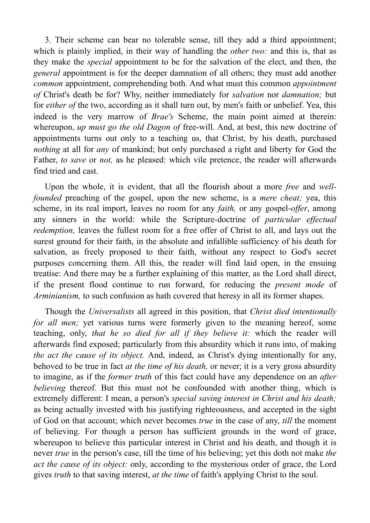3. Their scheme can bear no tolerable sense, till they add a third appointment; which is plainly implied, in their way of handling the *other two:* and this is, that as they make the *special* appointment to be for the salvation of the elect, and then, the *general* appointment is for the deeper damnation of all others; they must add another *common* appointment, comprehending both. And what must this common *appointment of* Christ's death be for? Why, neither immediately for *salvation* nor *damnation;* but for *either of* the two, according as it shall turn out, by men's faith or unbelief. Yea, this indeed is the very marrow of *Brae's* Scheme, the main point aimed at therein: whereupon, *up must go the old Dagon of* free-will. And, at best, this new doctrine of appointments turns out only to a teaching us, that Christ, by his death, purchased *nothing* at all for *any* of mankind; but only purchased a right and liberty for God the Father, *to save* or *not,* as he pleased: which vile pretence, the reader will afterwards find tried and cast.

Upon the whole, it is evident, that all the flourish about a more *free* and *wellfounded* preaching of the gospel, upon the new scheme, is a *mere cheat;* yea, this scheme, in its real import, leaves no room for any *faith,* or any gospel-*offer*, among any sinners in the world: while the Scripture-doctrine of *particular effectual redemption*, leaves the fullest room for a free offer of Christ to all, and lays out the surest ground for their faith, in the absolute and infallible sufficiency of his death for salvation, as freely proposed to their faith, without any respect to God's secret purposes concerning them. All this, the reader will find laid open, in the ensuing treatise: And there may be a further explaining of this matter, as the Lord shall direct, if the present flood continue to run forward, for reducing the *present mode* of *Arminianism*, to such confusion as hath covered that heresy in all its former shapes.

Though the *Universalists* all agreed in this position, that *Christ died intentionally for all men;* yet various turns were formerly given to the meaning hereof, some teaching, only, *that he so died for all if they believe it:* which the reader will afterwards find exposed; particularly from this absurdity which it runs into, of making *the act the cause of its object.* And, indeed, as Christ's dying intentionally for any, behoved to be true in fact *at the time of his death,* or never; it is a very gross absurdity to imagine, as if the *former truth* of this fact could have any dependence on an *after believing* thereof. But this must not be confounded with another thing, which is extremely different: I mean, a person's *special saving interest in Christ and his death;*  as being actually invested with his justifying righteousness, and accepted in the sight of God on that account; which never becomes *true* in the case of any, *till* the moment of believing. For though a person has sufficient grounds in the word of grace, whereupon to believe this particular interest in Christ and his death, and though it is never *true* in the person's case, till the time of his believing; yet this doth not make *the act the cause of its object:* only, according to the mysterious order of grace, the Lord gives *truth* to that saving interest, *at the time* of faith's applying Christ to the soul.